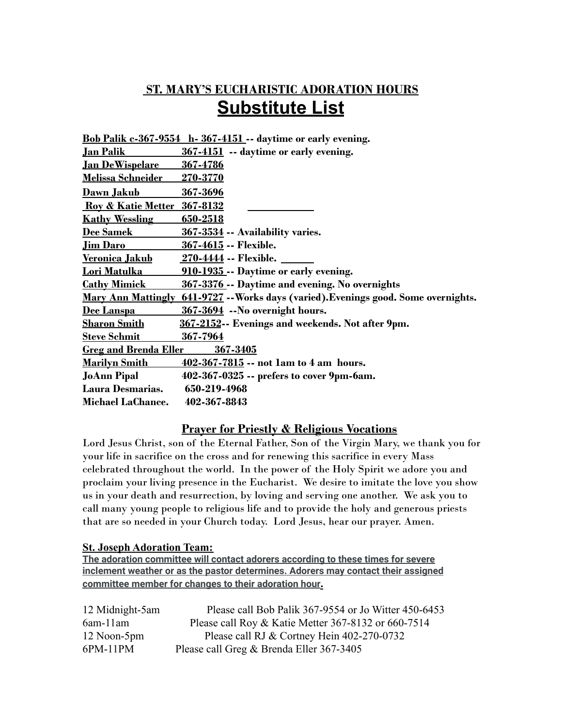### **ST. MARY'S EUCHARISTIC ADORATION HOURS Substitute List**

|                                        | <b>Bob Palik c-367-9554 h-367-4151</b> -- daytime or early evening.                 |
|----------------------------------------|-------------------------------------------------------------------------------------|
| <u>Jan Palik</u>                       | 367-4151 -- daytime or early evening.                                               |
| <u>Jan DeWispelare</u>                 | <u>367-4786</u>                                                                     |
| <u> Melissa Schneider</u>              | <u>270-3770</u>                                                                     |
| <u>Dawn Jakub</u>                      | 367-3696                                                                            |
| <b>Roy &amp; Katie Metter 367-8132</b> |                                                                                     |
| <b>Kathy Wessling</b>                  | <u>650-2518</u>                                                                     |
| <b>Dee Samek</b>                       | 367-3534 -- Availability varies.                                                    |
| <u>Jim Daro</u>                        | 367-4615 -- Flexible.                                                               |
| <u>Veronica Jakub</u>                  | <u> 270-4444</u> -- Flexible. ______                                                |
| <u>Lori Matulka </u>                   | 910-1935 -- Daytime or early evening.                                               |
| <b>Cathy Mimick</b>                    | 367-3376 -- Daytime and evening. No overnights                                      |
|                                        | Mary Ann Mattingly 641-9727 -- Works days (varied). Evenings good. Some overnights. |
| Dee Lanspa                             | 367-3694 -- No overnight hours.                                                     |
| <u>Sharon Smith</u>                    | 367-2152-- Evenings and weekends. Not after 9pm.                                    |
| <b>Steve Schmit</b>                    | 367-7964                                                                            |
| <b>Greg and Brenda Eller</b>           | 367-3405                                                                            |
| <u>Marilyn Smith</u>                   | $402 - 367 - 7815 -$ not lam to 4 am hours.                                         |
| <b>JoAnn Pipal</b>                     | 402-367-0325 -- prefers to cover 9pm-6am.                                           |
| Laura Desmarias.                       | 650-219-4968                                                                        |
| Michael LaChance.                      | 402-367-8843                                                                        |

#### **Prayer for Priestly & Religious Vocations**

Lord Jesus Christ, son of the Eternal Father, Son of the Virgin Mary, we thank you for your life in sacrifice on the cross and for renewing this sacrifice in every Mass celebrated throughout the world. In the power of the Holy Spirit we adore you and proclaim your living presence in the Eucharist. We desire to imitate the love you show us in your death and resurrection, by loving and serving one another. We ask you to call many young people to religious life and to provide the holy and generous priests that are so needed in your Church today. Lord Jesus, hear our prayer. Amen.

#### **St. Joseph Adoration Team:**

**The adoration committee will contact adorers according to these times for severe inclement weather or as the pastor determines. Adorers may contact their assigned committee member for changes to their adoration hour.**

| 12 Midnight-5am | Please call Bob Palik 367-9554 or Jo Witter 450-6453 |
|-----------------|------------------------------------------------------|
| $6$ am- $11$ am | Please call Roy & Katie Metter 367-8132 or 660-7514  |
| 12 Noon-5pm     | Please call RJ & Cortney Hein 402-270-0732           |
| 6PM-11PM        | Please call Greg & Brenda Eller 367-3405             |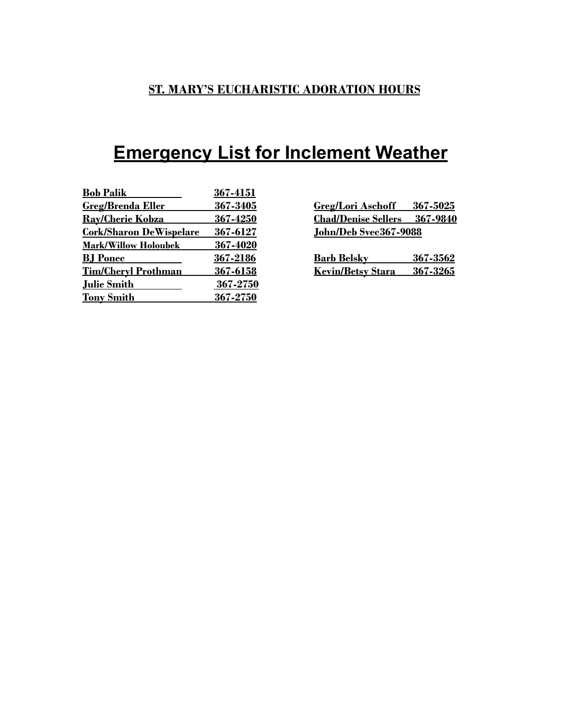## **Emergency List for Inclement Weather**

| <b>Bob Palik</b>               | 367-4151 |                                        |
|--------------------------------|----------|----------------------------------------|
| <b>Greg/Brenda Eller</b>       | 367-3405 | 367-5025<br><b>Greg/Lori Aschoff</b>   |
| <b>Rav/Cherie Kobza</b>        | 367-4250 | <b>Chad/Denise Sellers</b><br>367-9840 |
| <b>Cork/Sharon DeWispelare</b> | 367-6127 | John/Deb Svec367-9088                  |
| <b>Mark/Willow Holoubek</b>    | 367-4020 |                                        |
| <b>BJ</b> Ponec                | 367-2186 | <b>Barb Belsky</b><br>367-3562         |
| <b>Tim/Cheryl Prothman</b>     | 367-6158 | 367-3265<br><b>Kevin/Betsy Stara</b>   |
| <b>Julie Smith</b>             | 367-2750 |                                        |
| <b>Tony Smith</b>              | 367-2750 |                                        |

| <b>Greg/Lori Aschoff</b>            | 367-5025 |
|-------------------------------------|----------|
| <b>Chad/Denise Sellers</b> 367-9840 |          |
| John/Deb Svec367-9088               |          |
|                                     |          |

| <b>Barb Belsky</b>         | 367-3562 |
|----------------------------|----------|
| Kevin/Betsy Stara 367-3265 |          |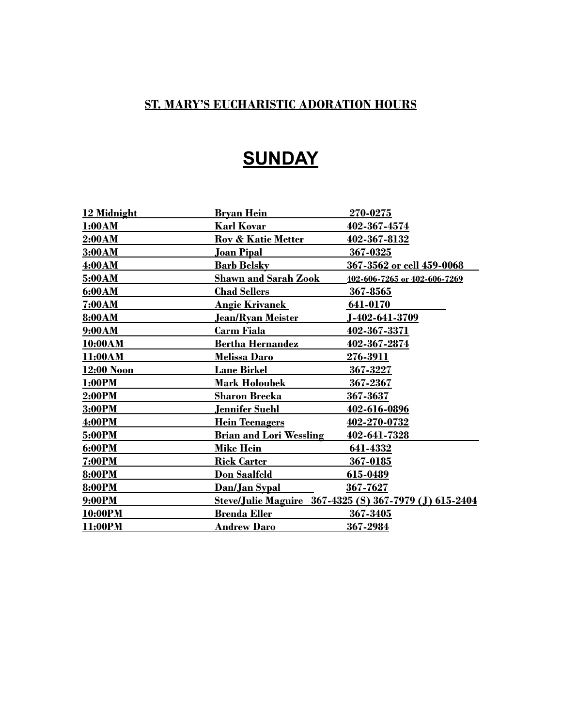## **SUNDAY**

| 12 Midnight   | <u>Brvan Hein</u>              | 270-0275                                               |
|---------------|--------------------------------|--------------------------------------------------------|
| 1:00AM        | <b>Karl Kovar</b>              | 402-367-4574                                           |
| 2:00AM        | <b>Roy &amp; Katie Metter</b>  | 402-367-8132                                           |
| 3:00AM        | <u>Joan Pipal</u>              | 367-0325                                               |
| <b>4:00AM</b> | <u>Barb Belsky</u>             | 367-3562 or cell 459-0068                              |
| 5:00AM        | <b>Shawn and Sarah Zook</b>    | 402-606-7265 or 402-606-7269                           |
| 6:00AM        | <b>Chad Sellers</b>            | 367-8565                                               |
| <b>7:00AM</b> | <u>Angie Krivanek</u>          | 641-0170                                               |
| 8:00AM        | <u>Jean/Ryan Meister</u>       | <u>J-402-641-3709</u>                                  |
| 9:00AM        | Carm Fiala                     | 402-367-3371                                           |
| 10:00AM       | <b>Bertha Hernandez</b>        | 402-367-2874                                           |
| 11:00AM       | <b>Melissa Daro</b>            | <u>276-3911</u>                                        |
| 12:00 Noon    | <b>Lane Birkel</b>             | 367-3227                                               |
| 1:00PM        | <b>Mark Holoubek</b>           | 367-2367                                               |
| 2:00PM        | <b>Sharon Brecka</b>           | 367-3637                                               |
| 3:00PM        | <u>Jennifer Suehl</u>          | 402-616-0896                                           |
| <b>4:00PM</b> | <b>Hein Teenagers</b>          | 402-270-0732                                           |
| 5:00PM        | <b>Brian and Lori Wessling</b> | 402-641-7328                                           |
| <b>6:00PM</b> | <b>Mike Hein</b>               | 641-4332                                               |
| <b>7:00PM</b> | <b>Rick Carter</b>             | 367-0185                                               |
| <b>8:00PM</b> | Don Saalfeld                   | 615-0489                                               |
| 8:00PM        | <u>Dan/Jan Sypal</u>           | 367-7627                                               |
| 9:00PM        |                                | Steve/Julie Maguire 367-4325 (S) 367-7979 (J) 615-2404 |
| 10:00PM       | <b>Brenda Eller</b>            | 367-3405                                               |
| 11:00PM       | <b>Andrew Daro</b>             | 367-2984                                               |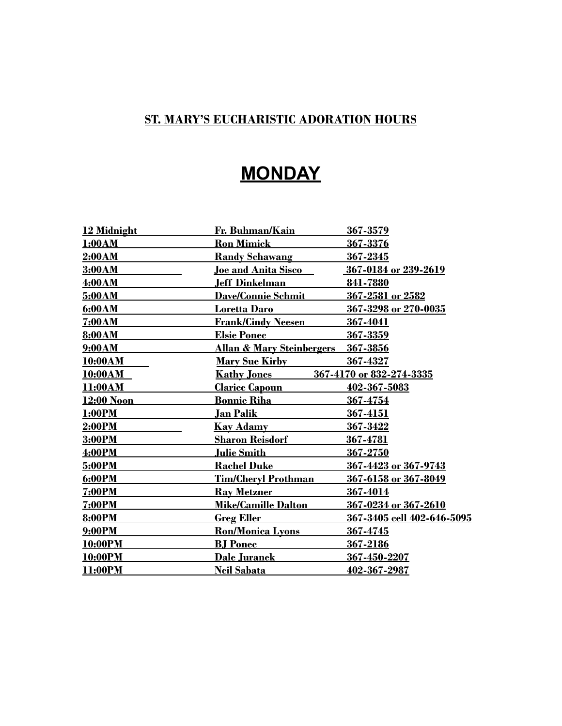# **MONDAY**

| 12 Midnight    | Fr. Buhman/Kain                      | <u>367-3579</u>            |
|----------------|--------------------------------------|----------------------------|
| 1:00AM         | <b>Ron Mimick</b>                    | 367-3376                   |
| 2:00AM         | <b>Randy Schawang</b>                | 367-2345                   |
| 3:00AM         | Joe and Anita Sisco                  | 367-0184 or 239-2619       |
| 4:00AM         | <u>Jeff Dinkelman</u>                | 841-7880                   |
| 5:00AM         | <b>Dave/Connie Schmit</b>            | 367-2581 or 2582           |
| 6:00AM         | <b>Loretta Daro</b>                  | 367-3298 or 270-0035       |
| 7:00AM         | <b>Frank/Cindy Neesen</b>            | 367-4041                   |
| 8:00AM         | <b>Elsie Ponec</b>                   | 367-3359                   |
| 9:00AM         | <u>Allan &amp; Mary Steinbergers</u> | 367-3856                   |
| <b>10:00AM</b> | <u>Mary Sue Kirby National St</u>    | 367-4327                   |
| <b>10:00AM</b> | <b>Kathy Jones</b>                   | 367-4170 or 832-274-3335   |
| 11:00AM        | <u> Clarice Capoun</u>               | 402-367-5083               |
| 12:00 Noon     | <u>Bonnie Riha</u>                   | 367-4754                   |
| 1:00PM         | Jan Palik                            | 367-4151                   |
| 2:00PM         | <b>Kay Adamy</b>                     | 367-3422                   |
| 3:00PM         | <b>Sharon Reisdorf</b>               | 367-4781                   |
| 4:00PM         | <u>Julie Smith</u>                   | 367-2750                   |
| 5:00PM         | <b>Rachel Duke</b>                   | 367-4423 or 367-9743       |
| 6:00PM         | <b>Tim/Cheryl Prothman</b>           | 367-6158 or 367-8049       |
| <b>7:00PM</b>  | <b>Ray Metzner</b>                   | 367-4014                   |
| <b>7:00PM</b>  | <b>Mike/Camille Dalton</b>           | 367-0234 or 367-2610       |
| 8:00PM         | <b>Greg Eller</b>                    | 367-3405 cell 402-646-5095 |
| 9:00PM         | <b>Ron/Monica Lyons</b>              | 367-4745                   |
| 10:00PM        | <b>BJ</b> Ponec                      | 367-2186                   |
| 10:00PM        | <b>Dale Juranek</b>                  | 367-450-2207               |
| 11:00PM        | <b>Neil Sabata</b>                   | 402-367-2987               |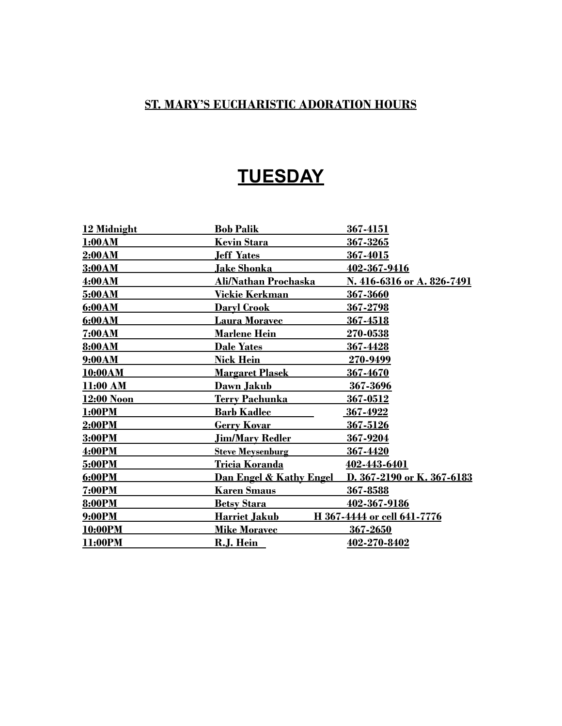### **TUESDAY**

| 12 Midnight   | <b>Bob Palik</b>                   | 367-4151                    |
|---------------|------------------------------------|-----------------------------|
| 1:00AM        | <b>Kevin Stara</b>                 | 367-3265                    |
| <u>2:00AM</u> | <b>Jeff Yates</b>                  | 367-4015                    |
| 3:00AM        | <u>Jake Shonka</u>                 | 402-367-9416                |
| 4:00AM        | Ali/Nathan Prochaska               | N. 416-6316 or A. 826-7491  |
| 5:00AM        | <u>Vickie Kerkman</u>              | 367-3660                    |
| 6:00AM        | <b>Daryl Crook</b>                 | <u>367-2798</u>             |
| 6:00AM        | Laura Moravec                      | 367-4518                    |
| 7:00AM        | <b>Marlene Hein</b>                | 270-0538                    |
| 8:00AM        | <b>Dale Yates</b>                  | 367-4428                    |
| 9:00AM        | <u>Nick Hein</u>                   | 270-9499                    |
| 10:00AM       | <u>Margaret Plasek</u>             | 367-4670                    |
| 11:00 AM      | Dawn Jakub                         | 367-3696                    |
| 12:00 Noon    | <u>Terry Pachunka</u>              | 367-0512                    |
| <b>1:00PM</b> | <u>Barb Kadlec</u>                 | 367-4922                    |
| 2:00PM        | <u>Gerry Kovar</u>                 | 367-5126                    |
| 3:00PM        | <b>Jim/Mary Redler</b>             | 367-9204                    |
| 4:00PM        | <b>Steve Meysenburg</b>            | 367-4420                    |
| 5:00PM        | <u>Tricia Koranda</u>              | 402-443-6401                |
| 6:00PM        | <u>Dan Engel &amp; Kathy Engel</u> | D. 367-2190 or K. 367-6183  |
| 7:00PM        | <b>Karen Smaus</b>                 | 367-8588                    |
| 8:00PM        | <b>Betsy Stara</b>                 | 402-367-9186                |
| 9:00PM        | <b>Harriet Jakub</b>               | H 367-4444 or cell 641-7776 |
| 10:00PM       | <u>Mike Moravec</u>                | 367-2650                    |
| 11:00PM       | R.J. Hein                          | 402-270-8402                |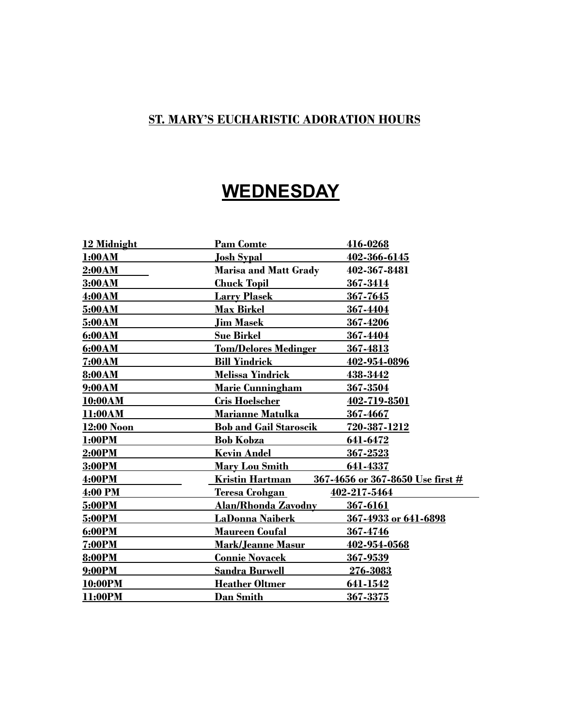## **WEDNESDAY**

| 12 Midnight   | <b>Pam Comte</b>                | 416-0268                         |
|---------------|---------------------------------|----------------------------------|
| <b>1:00AM</b> | <u>Josh Sypal</u>               | 402-366-6145                     |
| 2:00AM        | <b>Marisa and Matt Grady</b>    | 402-367-8481                     |
| 3:00AM        | <b>Chuck Topil</b>              | 367-3414                         |
| 4:00AM        | <b>Larry Plasek</b>             | 367-7645                         |
| 5:00AM        | <b>Max Birkel</b>               | 367-4404                         |
| 5:00AM        | <b>Jim Masek</b>                | 367-4206                         |
| 6:00AM        | <b>Sue Birkel</b>               | 367-4404                         |
| 6:00AM        | <b>Tom/Delores Medinger</b>     | 367-4813                         |
| <b>7:00AM</b> | <b>Bill Yindrick</b>            | 402-954-0896                     |
| 8:00AM        | <b>Melissa Yindrick</b>         | 438-3442                         |
| 9:00AM        | <b>Marie Cunningham</b>         | 367-3504                         |
| 10:00AM       | <b>Cris Hoelscher</b>           | 402-719-8501                     |
| 11:00AM       | <b>Marianne Matulka</b>         | 367-4667                         |
| 12:00 Noon    | <b>Bob and Gail Staroscik</b>   | 720-387-1212                     |
| <b>1:00PM</b> | <b>Bob Kobza</b>                | 641-6472                         |
| 2:00PM        | <b>Keyin Andel</b>              | 367-2523                         |
| 3:00PM        | <u>Mary Lou Smith _</u>         | 641-4337                         |
| 4:00PM        | Kristin Hartman                 | 367-4656 or 367-8650 Use first # |
| 4:00 PM       | <u>Teresa Crohgan</u>           | 402-217-5464                     |
| 5:00PM        | <u> Alan/Rhonda Zavodny    </u> | 367-6161                         |
| 5:00PM        | LaDonna Naiberk                 | 367-4933 or 641-6898             |
| 6:00PM        | <b>Maureen Coufal</b>           | 367-4746                         |
| <b>7:00PM</b> | <b>Mark/Jeanne Masur</b>        | 402-954-0568                     |
| <b>8:00PM</b> | <b>Connie Novacek</b>           | 367-9539                         |
| 9:00PM        | <b>Sandra Burwell</b>           | 276-3083                         |
| 10:00PM       | <b>Heather Oltmer</b>           | 641-1542                         |
| 11:00PM       | <b>Dan Smith</b>                | 367-3375                         |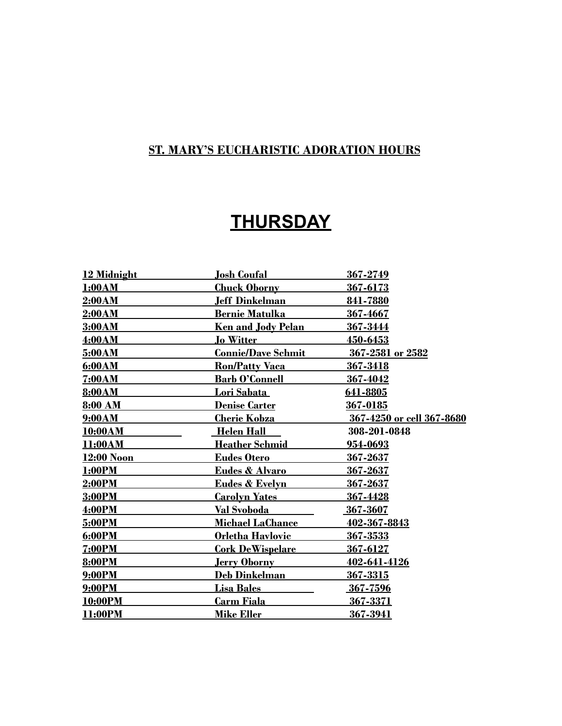## **THURSDAY**

| 12 Midnight    | <b>Josh Coufal</b>        | 367-2749                  |
|----------------|---------------------------|---------------------------|
| 1:00AM         | <b>Chuck Oborny</b>       | 367-6173                  |
| 2:00AM         | Jeff Dinkelman            | 841-7880                  |
| 2:00AM         | <b>Bernie Matulka</b>     | 367-4667                  |
| 3:00AM         | <b>Ken and Jody Pelan</b> | 367-3444                  |
| 4:00AM         | <b>Jo Witter</b>          | 450-6453                  |
| 5:00AM         | <b>Connie/Dave Schmit</b> | 367-2581 or 2582          |
| 6:00AM         | <u> Ron/Patty Vaca_</u>   | 367-3418                  |
| 7:00AM         | <b>Barb O'Connell</b>     | 367-4042                  |
| 8:00AM         | <u>Lori Sabata </u>       | 641-8805                  |
| 8:00 AM        | <b>Denise Carter</b>      | 367-0185                  |
| 9:00AM         | <b>Cherie Kobza</b>       | 367-4250 or cell 367-8680 |
| <b>10:00AM</b> | <b>Helen Hall</b>         | 308-201-0848              |
| 11:00AM        | <b>Heather Schmid</b>     | <u>954-0693</u>           |
| 12:00 Noon     | <b>Eudes Otero</b>        | 367-2637                  |
| 1:00PM         | Eudes & Alvaro            | 367-2637                  |
| 2:00PM         | <b>Eudes &amp; Evelyn</b> | 367-2637                  |
| 3:00PM         | <b>Carolyn Yates</b>      | 367-4428                  |
| 4:00PM         | Val Svoboda               | 367-3607                  |
| 5:00PM         | <u> Michael LaChance</u>  | 402-367-8843              |
| 6:00PM         | Orletha Havlovic          | 367-3533                  |
| <b>7:00PM</b>  | <b>Cork DeWispelare</b>   | 367-6127                  |
| 8:00PM         | <u>Jerry Oborny</u>       | 402-641-4126              |
| 9:00PM         | <b>Deb Dinkelman</b>      | 367-3315                  |
| 9:00PM         | <b>Lisa Bales</b>         | 367-7596                  |
| 10:00PM        | <b>Carm Fiala</b>         | 367-3371                  |
| 11:00PM        | <b>Mike Eller</b>         | 367-3941                  |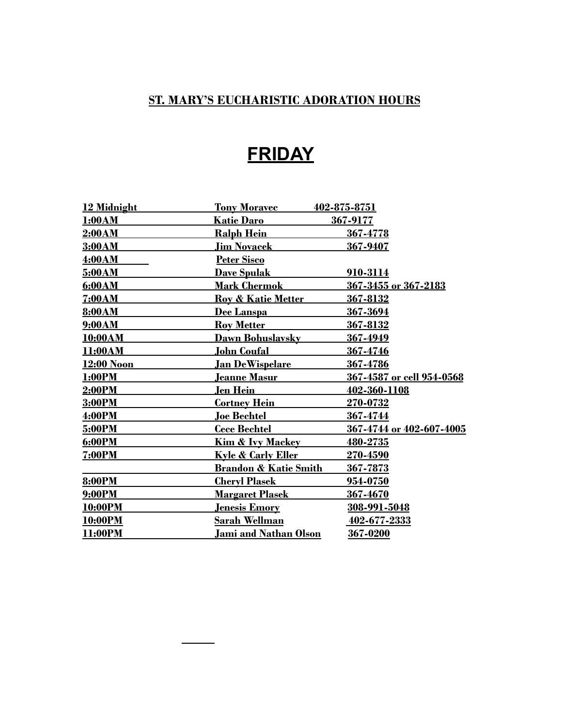# **FRIDAY**

| 12 Midnight    | <b>Tony Moravec</b>              | 402-875-8751              |
|----------------|----------------------------------|---------------------------|
| 1:00AM         | <b>Katie Daro</b>                | 367-9177                  |
| 2:00AM         | <b>Ralph Hein</b>                | 367-4778                  |
| 3:00AM         | <b>Jim Novacek</b>               | 367-9407                  |
| 4:00AM         | Peter Sisco                      |                           |
| 5:00AM         | <b>Dave Spulak</b>               | 910-3114                  |
| 6:00AM         | <b>Mark Chermok</b>              | 367-3455 or 367-2183      |
| 7:00AM         | <b>Roy &amp; Katie Metter</b>    | 367-8132                  |
| 8:00AM         | Dee Lanspa                       | 367-3694                  |
| 9:00AM         | <b>Roy Metter</b>                | 367-8132                  |
| <b>10:00AM</b> | Dawn Bohuslavsky                 | 367-4949                  |
| 11:00AM        | <u> John Coufal</u>              | 367-4746                  |
| 12:00 Noon     | <u> Jan DeWispelare</u>          | 367-4786                  |
| <b>1:00PM</b>  | <u>Jeanne Masur</u>              | 367-4587 or cell 954-0568 |
| 2:00PM         | <u>Jen Hein</u>                  | 402-360-1108              |
| 3:00PM         | <u>Cortney Hein</u>              | <b>270-0732</b>           |
| 4:00PM         | <b>Joe Bechtel</b>               | 367-4744                  |
| 5:00PM         | <b>Cece Bechtel</b>              | 367-4744 or 402-607-4005  |
| 6:00PM         | <u>Kim &amp; Ivy Mackey</u>      | 480-2735                  |
| <b>7:00PM</b>  | <u>Kyle &amp; Carly Eller</u>    | 270-4590                  |
|                | <b>Brandon &amp; Katie Smith</b> | 367-7873                  |
| <b>8:00PM</b>  | <b>Cheryl Plasek</b>             | 954-0750                  |
| 9:00PM         | <u> Margaret Plasek</u>          | 367-4670                  |
| 10:00PM        | <u><b>Jenesis Emory</b></u>      | 308-991-5048              |
| 10:00PM        | <b>Sarah Wellman</b>             | 402-677-2333              |
| 11:00PM        | <u>Jami and Nathan Olson</u>     | 367-0200                  |